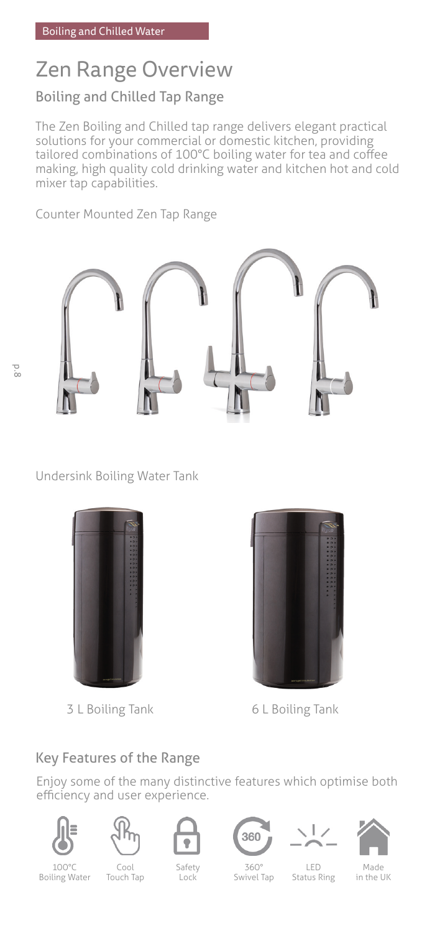# Zen Range Overview

## Boiling and Chilled Tap Range

The Zen Boiling and Chilled tap range delivers elegant practical solutions for your commercial or domestic kitchen, providing tailored combinations of 100°C boiling water for tea and coffee making, high quality cold drinking water and kitchen hot and cold mixer tap capabilities.

Counter Mounted Zen Tap Range



Undersink Boiling Water Tank



3 L Boiling Tank 6 L Boiling Tank



### Key Features of the Range

Enjoy some of the many distinctive features which optimise both efficiency and user experience.













100°C Boiling Water

Cool Touch Tap

Safety Lock

360° Swivel Tap

LED Status Ring

Made in the UK